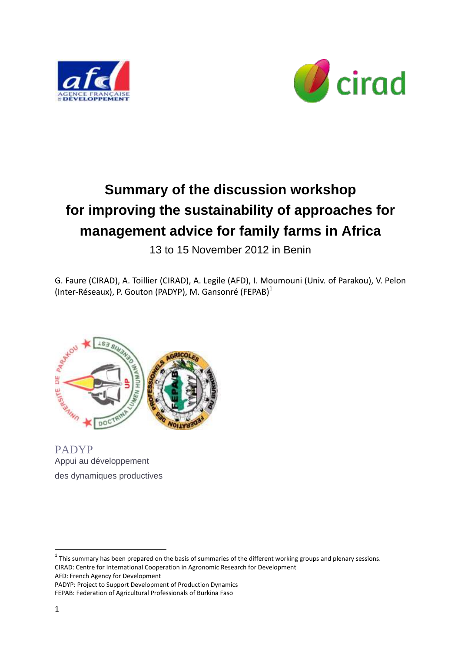



# **Summary of the discussion workshop for improving the sustainability of approaches for management advice for family farms in Africa**

13 to 15 November 2012 in Benin

G. Faure (CIRAD), A. Toillier (CIRAD), A. Legile (AFD), I. Moumouni (Univ. of Parakou), V. Pelon (Inter-Réseaux), P. Gouton (PADYP), M. Gansonré (FEPAB)<sup>1</sup>



PADYP Appui au développement des dynamiques productives

 $1$  This summary has been prepared on the basis of summaries of the different working groups and plenary sessions. CIRAD: Centre for International Cooperation in Agronomic Research for Development AFD: French Agency for Development

PADYP: Project to Support Development of Production Dynamics FEPAB: Federation of Agricultural Professionals of Burkina Faso

**.**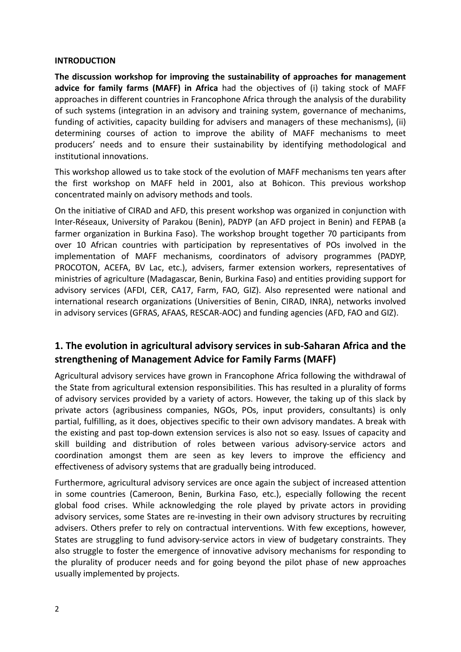#### **INTRODUCTION**

**The discussion workshop for improving the sustainability of approaches for management advice for family farms (MAFF) in Africa** had the objectives of (i) taking stock of MAFF approaches in different countries in Francophone Africa through the analysis of the durability of such systems (integration in an advisory and training system, governance of mechanims, funding of activities, capacity building for advisers and managers of these mechanisms), (ii) determining courses of action to improve the ability of MAFF mechanisms to meet producers' needs and to ensure their sustainability by identifying methodological and institutional innovations.

This workshop allowed us to take stock of the evolution of MAFF mechanisms ten years after the first workshop on MAFF held in 2001, also at Bohicon. This previous workshop concentrated mainly on advisory methods and tools.

On the initiative of CIRAD and AFD, this present workshop was organized in conjunction with Inter-Réseaux, University of Parakou (Benin), PADYP (an AFD project in Benin) and FEPAB (a farmer organization in Burkina Faso). The workshop brought together 70 participants from over 10 African countries with participation by representatives of POs involved in the implementation of MAFF mechanisms, coordinators of advisory programmes (PADYP, PROCOTON, ACEFA, BV Lac, etc.), advisers, farmer extension workers, representatives of ministries of agriculture (Madagascar, Benin, Burkina Faso) and entities providing support for advisory services (AFDI, CER, CA17, Farm, FAO, GIZ). Also represented were national and international research organizations (Universities of Benin, CIRAD, INRA), networks involved in advisory services (GFRAS, AFAAS, RESCAR-AOC) and funding agencies (AFD, FAO and GIZ).

## **1. The evolution in agricultural advisory services in sub-Saharan Africa and the strengthening of Management Advice for Family Farms (MAFF)**

Agricultural advisory services have grown in Francophone Africa following the withdrawal of the State from agricultural extension responsibilities. This has resulted in a plurality of forms of advisory services provided by a variety of actors. However, the taking up of this slack by private actors (agribusiness companies, NGOs, POs, input providers, consultants) is only partial, fulfilling, as it does, objectives specific to their own advisory mandates. A break with the existing and past top-down extension services is also not so easy. Issues of capacity and skill building and distribution of roles between various advisory-service actors and coordination amongst them are seen as key levers to improve the efficiency and effectiveness of advisory systems that are gradually being introduced.

Furthermore, agricultural advisory services are once again the subject of increased attention in some countries (Cameroon, Benin, Burkina Faso, etc.), especially following the recent global food crises. While acknowledging the role played by private actors in providing advisory services, some States are re-investing in their own advisory structures by recruiting advisers. Others prefer to rely on contractual interventions. With few exceptions, however, States are struggling to fund advisory-service actors in view of budgetary constraints. They also struggle to foster the emergence of innovative advisory mechanisms for responding to the plurality of producer needs and for going beyond the pilot phase of new approaches usually implemented by projects.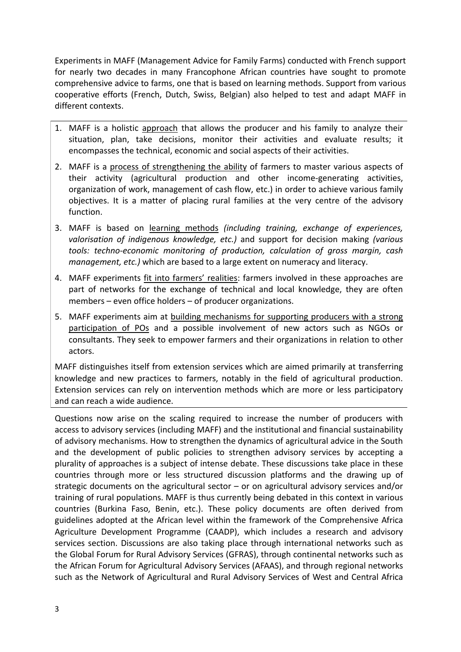Experiments in MAFF (Management Advice for Family Farms) conducted with French support for nearly two decades in many Francophone African countries have sought to promote comprehensive advice to farms, one that is based on learning methods. Support from various cooperative efforts (French, Dutch, Swiss, Belgian) also helped to test and adapt MAFF in different contexts.

- 1. MAFF is a holistic approach that allows the producer and his family to analyze their situation, plan, take decisions, monitor their activities and evaluate results; it encompasses the technical, economic and social aspects of their activities.
- 2. MAFF is a process of strengthening the ability of farmers to master various aspects of their activity (agricultural production and other income-generating activities, organization of work, management of cash flow, etc.) in order to achieve various family objectives. It is a matter of placing rural families at the very centre of the advisory function.
- 3. MAFF is based on learning methods *(including training, exchange of experiences, valorisation of indigenous knowledge, etc.)* and support for decision making *(various tools: techno-economic monitoring of production, calculation of gross margin, cash management, etc.)* which are based to a large extent on numeracy and literacy.
- 4. MAFF experiments fit into farmers' realities: farmers involved in these approaches are part of networks for the exchange of technical and local knowledge, they are often members – even office holders – of producer organizations.
- 5. MAFF experiments aim at building mechanisms for supporting producers with a strong participation of POs and a possible involvement of new actors such as NGOs or consultants. They seek to empower farmers and their organizations in relation to other actors.

MAFF distinguishes itself from extension services which are aimed primarily at transferring knowledge and new practices to farmers, notably in the field of agricultural production. Extension services can rely on intervention methods which are more or less participatory and can reach a wide audience.

Questions now arise on the scaling required to increase the number of producers with access to advisory services (including MAFF) and the institutional and financial sustainability of advisory mechanisms. How to strengthen the dynamics of agricultural advice in the South and the development of public policies to strengthen advisory services by accepting a plurality of approaches is a subject of intense debate. These discussions take place in these countries through more or less structured discussion platforms and the drawing up of strategic documents on the agricultural sector – or on agricultural advisory services and/or training of rural populations. MAFF is thus currently being debated in this context in various countries (Burkina Faso, Benin, etc.). These policy documents are often derived from guidelines adopted at the African level within the framework of the Comprehensive Africa Agriculture Development Programme (CAADP), which includes a research and advisory services section. Discussions are also taking place through international networks such as the Global Forum for Rural Advisory Services (GFRAS), through continental networks such as the African Forum for Agricultural Advisory Services (AFAAS), and through regional networks such as the Network of Agricultural and Rural Advisory Services of West and Central Africa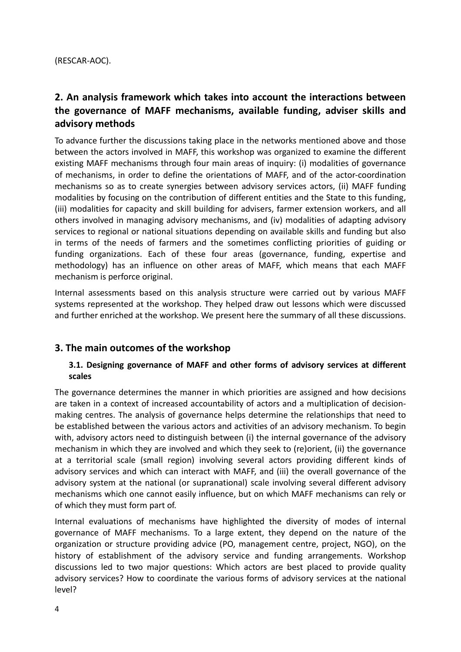# **2. An analysis framework which takes into account the interactions between the governance of MAFF mechanisms, available funding, adviser skills and advisory methods**

To advance further the discussions taking place in the networks mentioned above and those between the actors involved in MAFF, this workshop was organized to examine the different existing MAFF mechanisms through four main areas of inquiry: (i) modalities of governance of mechanisms, in order to define the orientations of MAFF, and of the actor-coordination mechanisms so as to create synergies between advisory services actors, (ii) MAFF funding modalities by focusing on the contribution of different entities and the State to this funding, (iii) modalities for capacity and skill building for advisers, farmer extension workers, and all others involved in managing advisory mechanisms, and (iv) modalities of adapting advisory services to regional or national situations depending on available skills and funding but also in terms of the needs of farmers and the sometimes conflicting priorities of guiding or funding organizations. Each of these four areas (governance, funding, expertise and methodology) has an influence on other areas of MAFF, which means that each MAFF mechanism is perforce original.

Internal assessments based on this analysis structure were carried out by various MAFF systems represented at the workshop. They helped draw out lessons which were discussed and further enriched at the workshop. We present here the summary of all these discussions.

## **3. The main outcomes of the workshop**

## **3.1. Designing governance of MAFF and other forms of advisory services at different scales**

The governance determines the manner in which priorities are assigned and how decisions are taken in a context of increased accountability of actors and a multiplication of decisionmaking centres. The analysis of governance helps determine the relationships that need to be established between the various actors and activities of an advisory mechanism. To begin with, advisory actors need to distinguish between (i) the internal governance of the advisory mechanism in which they are involved and which they seek to (re)orient, (ii) the governance at a territorial scale (small region) involving several actors providing different kinds of advisory services and which can interact with MAFF, and (iii) the overall governance of the advisory system at the national (or supranational) scale involving several different advisory mechanisms which one cannot easily influence, but on which MAFF mechanisms can rely or of which they must form part of.

Internal evaluations of mechanisms have highlighted the diversity of modes of internal governance of MAFF mechanisms. To a large extent, they depend on the nature of the organization or structure providing advice (PO, management centre, project, NGO), on the history of establishment of the advisory service and funding arrangements. Workshop discussions led to two major questions: Which actors are best placed to provide quality advisory services? How to coordinate the various forms of advisory services at the national level?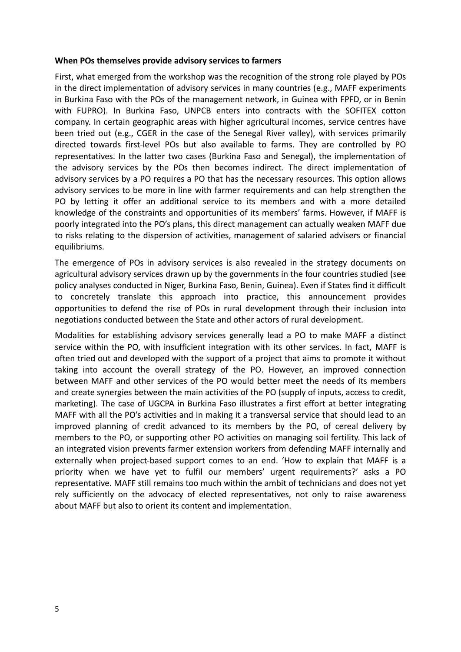#### **When POs themselves provide advisory services to farmers**

First, what emerged from the workshop was the recognition of the strong role played by POs in the direct implementation of advisory services in many countries (e.g., MAFF experiments in Burkina Faso with the POs of the management network, in Guinea with FPFD, or in Benin with FUPRO). In Burkina Faso, UNPCB enters into contracts with the SOFITEX cotton company. In certain geographic areas with higher agricultural incomes, service centres have been tried out (e.g., CGER in the case of the Senegal River valley), with services primarily directed towards first-level POs but also available to farms. They are controlled by PO representatives. In the latter two cases (Burkina Faso and Senegal), the implementation of the advisory services by the POs then becomes indirect. The direct implementation of advisory services by a PO requires a PO that has the necessary resources. This option allows advisory services to be more in line with farmer requirements and can help strengthen the PO by letting it offer an additional service to its members and with a more detailed knowledge of the constraints and opportunities of its members' farms. However, if MAFF is poorly integrated into the PO's plans, this direct management can actually weaken MAFF due to risks relating to the dispersion of activities, management of salaried advisers or financial equilibriums.

The emergence of POs in advisory services is also revealed in the strategy documents on agricultural advisory services drawn up by the governments in the four countries studied (see policy analyses conducted in Niger, Burkina Faso, Benin, Guinea). Even if States find it difficult to concretely translate this approach into practice, this announcement provides opportunities to defend the rise of POs in rural development through their inclusion into negotiations conducted between the State and other actors of rural development.

Modalities for establishing advisory services generally lead a PO to make MAFF a distinct service within the PO, with insufficient integration with its other services. In fact, MAFF is often tried out and developed with the support of a project that aims to promote it without taking into account the overall strategy of the PO. However, an improved connection between MAFF and other services of the PO would better meet the needs of its members and create synergies between the main activities of the PO (supply of inputs, access to credit, marketing). The case of UGCPA in Burkina Faso illustrates a first effort at better integrating MAFF with all the PO's activities and in making it a transversal service that should lead to an improved planning of credit advanced to its members by the PO, of cereal delivery by members to the PO, or supporting other PO activities on managing soil fertility. This lack of an integrated vision prevents farmer extension workers from defending MAFF internally and externally when project-based support comes to an end. 'How to explain that MAFF is a priority when we have yet to fulfil our members' urgent requirements?' asks a PO representative. MAFF still remains too much within the ambit of technicians and does not yet rely sufficiently on the advocacy of elected representatives, not only to raise awareness about MAFF but also to orient its content and implementation.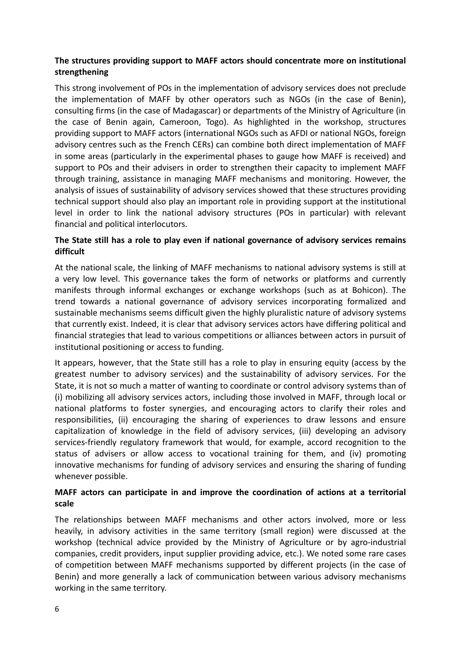#### **The structures providing support to MAFF actors should concentrate more on institutional strengthening**

This strong involvement of POs in the implementation of advisory services does not preclude the implementation of MAFF by other operators such as NGOs (in the case of Benin), consulting firms (in the case of Madagascar) or departments of the Ministry of Agriculture (in the case of Benin again, Cameroon, Togo). As highlighted in the workshop, structures providing support to MAFF actors (international NGOs such as AFDI or national NGOs, foreign advisory centres such as the French CERs) can combine both direct implementation of MAFF in some areas (particularly in the experimental phases to gauge how MAFF is received) and support to POs and their advisers in order to strengthen their capacity to implement MAFF through training, assistance in managing MAFF mechanisms and monitoring. However, the analysis of issues of sustainability of advisory services showed that these structures providing technical support should also play an important role in providing support at the institutional level in order to link the national advisory structures (POs in particular) with relevant financial and political interlocutors.

#### **The State still has a role to play even if national governance of advisory services remains difficult**

At the national scale, the linking of MAFF mechanisms to national advisory systems is still at a very low level. This governance takes the form of networks or platforms and currently manifests through informal exchanges or exchange workshops (such as at Bohicon). The trend towards a national governance of advisory services incorporating formalized and sustainable mechanisms seems difficult given the highly pluralistic nature of advisory systems that currently exist. Indeed, it is clear that advisory services actors have differing political and financial strategies that lead to various competitions or alliances between actors in pursuit of institutional positioning or access to funding.

It appears, however, that the State still has a role to play in ensuring equity (access by the greatest number to advisory services) and the sustainability of advisory services. For the State, it is not so much a matter of wanting to coordinate or control advisory systems than of (i) mobilizing all advisory services actors, including those involved in MAFF, through local or national platforms to foster synergies, and encouraging actors to clarify their roles and responsibilities, (ii) encouraging the sharing of experiences to draw lessons and ensure capitalization of knowledge in the field of advisory services, (iii) developing an advisory services-friendly regulatory framework that would, for example, accord recognition to the status of advisers or allow access to vocational training for them, and (iv) promoting innovative mechanisms for funding of advisory services and ensuring the sharing of funding whenever possible.

#### **MAFF actors can participate in and improve the coordination of actions at a territorial scale**

The relationships between MAFF mechanisms and other actors involved, more or less heavily, in advisory activities in the same territory (small region) were discussed at the workshop (technical advice provided by the Ministry of Agriculture or by agro-industrial companies, credit providers, input supplier providing advice, etc.). We noted some rare cases of competition between MAFF mechanisms supported by different projects (in the case of Benin) and more generally a lack of communication between various advisory mechanisms working in the same territory.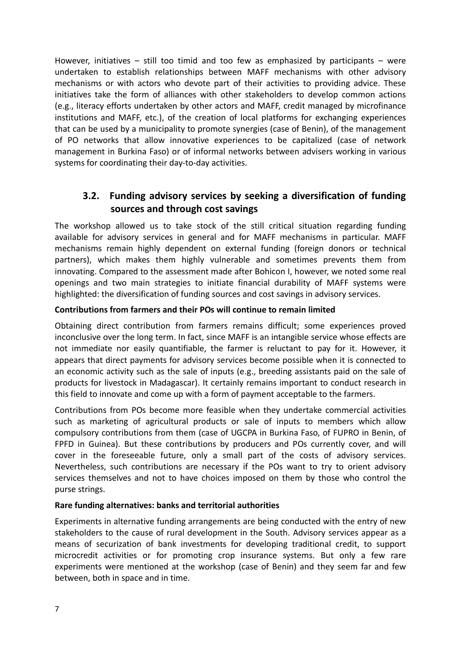However, initiatives  $-$  still too timid and too few as emphasized by participants  $-$  were undertaken to establish relationships between MAFF mechanisms with other advisory mechanisms or with actors who devote part of their activities to providing advice. These initiatives take the form of alliances with other stakeholders to develop common actions (e.g., literacy efforts undertaken by other actors and MAFF, credit managed by microfinance institutions and MAFF, etc.), of the creation of local platforms for exchanging experiences that can be used by a municipality to promote synergies (case of Benin), of the management of PO networks that allow innovative experiences to be capitalized (case of network management in Burkina Faso) or of informal networks between advisers working in various systems for coordinating their day-to-day activities.

# **3.2. Funding advisory services by seeking a diversification of funding sources and through cost savings**

The workshop allowed us to take stock of the still critical situation regarding funding available for advisory services in general and for MAFF mechanisms in particular. MAFF mechanisms remain highly dependent on external funding (foreign donors or technical partners), which makes them highly vulnerable and sometimes prevents them from innovating. Compared to the assessment made after Bohicon I, however, we noted some real openings and two main strategies to initiate financial durability of MAFF systems were highlighted: the diversification of funding sources and cost savings in advisory services.

#### **Contributions from farmers and their POs will continue to remain limited**

Obtaining direct contribution from farmers remains difficult; some experiences proved inconclusive over the long term. In fact, since MAFF is an intangible service whose effects are not immediate nor easily quantifiable, the farmer is reluctant to pay for it. However, it appears that direct payments for advisory services become possible when it is connected to an economic activity such as the sale of inputs (e.g., breeding assistants paid on the sale of products for livestock in Madagascar). It certainly remains important to conduct research in this field to innovate and come up with a form of payment acceptable to the farmers.

Contributions from POs become more feasible when they undertake commercial activities such as marketing of agricultural products or sale of inputs to members which allow compulsory contributions from them (case of UGCPA in Burkina Faso, of FUPRO in Benin, of FPFD in Guinea). But these contributions by producers and POs currently cover, and will cover in the foreseeable future, only a small part of the costs of advisory services. Nevertheless, such contributions are necessary if the POs want to try to orient advisory services themselves and not to have choices imposed on them by those who control the purse strings.

#### **Rare funding alternatives: banks and territorial authorities**

Experiments in alternative funding arrangements are being conducted with the entry of new stakeholders to the cause of rural development in the South. Advisory services appear as a means of securization of bank investments for developing traditional credit, to support microcredit activities or for promoting crop insurance systems. But only a few rare experiments were mentioned at the workshop (case of Benin) and they seem far and few between, both in space and in time.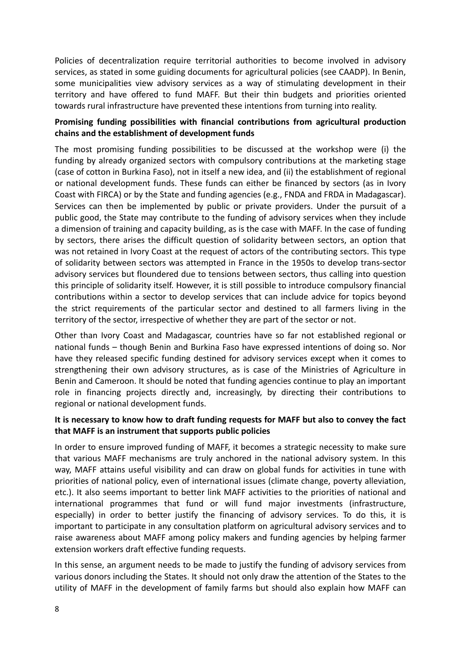Policies of decentralization require territorial authorities to become involved in advisory services, as stated in some guiding documents for agricultural policies (see CAADP). In Benin, some municipalities view advisory services as a way of stimulating development in their territory and have offered to fund MAFF. But their thin budgets and priorities oriented towards rural infrastructure have prevented these intentions from turning into reality.

## **Promising funding possibilities with financial contributions from agricultural production chains and the establishment of development funds**

The most promising funding possibilities to be discussed at the workshop were (i) the funding by already organized sectors with compulsory contributions at the marketing stage (case of cotton in Burkina Faso), not in itself a new idea, and (ii) the establishment of regional or national development funds. These funds can either be financed by sectors (as in Ivory Coast with FIRCA) or by the State and funding agencies (e.g., FNDA and FRDA in Madagascar). Services can then be implemented by public or private providers. Under the pursuit of a public good, the State may contribute to the funding of advisory services when they include a dimension of training and capacity building, as is the case with MAFF. In the case of funding by sectors, there arises the difficult question of solidarity between sectors, an option that was not retained in Ivory Coast at the request of actors of the contributing sectors. This type of solidarity between sectors was attempted in France in the 1950s to develop trans-sector advisory services but floundered due to tensions between sectors, thus calling into question this principle of solidarity itself. However, it is still possible to introduce compulsory financial contributions within a sector to develop services that can include advice for topics beyond the strict requirements of the particular sector and destined to all farmers living in the territory of the sector, irrespective of whether they are part of the sector or not.

Other than Ivory Coast and Madagascar, countries have so far not established regional or national funds – though Benin and Burkina Faso have expressed intentions of doing so. Nor have they released specific funding destined for advisory services except when it comes to strengthening their own advisory structures, as is case of the Ministries of Agriculture in Benin and Cameroon. It should be noted that funding agencies continue to play an important role in financing projects directly and, increasingly, by directing their contributions to regional or national development funds.

#### **It is necessary to know how to draft funding requests for MAFF but also to convey the fact that MAFF is an instrument that supports public policies**

In order to ensure improved funding of MAFF, it becomes a strategic necessity to make sure that various MAFF mechanisms are truly anchored in the national advisory system. In this way, MAFF attains useful visibility and can draw on global funds for activities in tune with priorities of national policy, even of international issues (climate change, poverty alleviation, etc.). It also seems important to better link MAFF activities to the priorities of national and international programmes that fund or will fund major investments (infrastructure, especially) in order to better justify the financing of advisory services. To do this, it is important to participate in any consultation platform on agricultural advisory services and to raise awareness about MAFF among policy makers and funding agencies by helping farmer extension workers draft effective funding requests.

In this sense, an argument needs to be made to justify the funding of advisory services from various donors including the States. It should not only draw the attention of the States to the utility of MAFF in the development of family farms but should also explain how MAFF can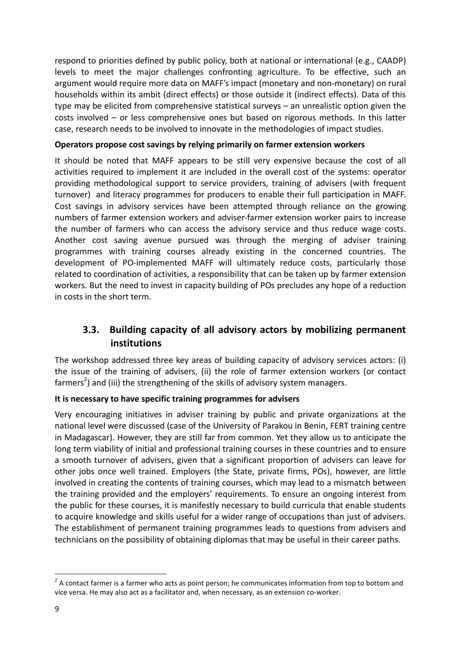respond to priorities defined by public policy, both at national or international (e.g., CAADP) levels to meet the major challenges confronting agriculture. To be effective, such an argument would require more data on MAFF's impact (monetary and non-monetary) on rural households within its ambit (direct effects) or those outside it (indirect effects). Data of this type may be elicited from comprehensive statistical surveys – an unrealistic option given the costs involved – or less comprehensive ones but based on rigorous methods. In this latter case, research needs to be involved to innovate in the methodologies of impact studies.

#### **Operators propose cost savings by relying primarily on farmer extension workers**

It should be noted that MAFF appears to be still very expensive because the cost of all activities required to implement it are included in the overall cost of the systems: operator providing methodological support to service providers, training of advisers (with frequent turnover) and literacy programmes for producers to enable their full participation in MAFF. Cost savings in advisory services have been attempted through reliance on the growing numbers of farmer extension workers and adviser-farmer extension worker pairs to increase the number of farmers who can access the advisory service and thus reduce wage costs. Another cost saving avenue pursued was through the merging of adviser training programmes with training courses already existing in the concerned countries. The development of PO-implemented MAFF will ultimately reduce costs, particularly those related to coordination of activities, a responsibility that can be taken up by farmer extension workers. But the need to invest in capacity building of POs precludes any hope of a reduction in costs in the short term.

## **3.3. Building capacity of all advisory actors by mobilizing permanent institutions**

The workshop addressed three key areas of building capacity of advisory services actors: (i) the issue of the training of advisers, (ii) the role of farmer extension workers (or contact farmers<sup>2</sup>) and (iii) the strengthening of the skills of advisory system managers.

#### **It is necessary to have specific training programmes for advisers**

Very encouraging initiatives in adviser training by public and private organizations at the national level were discussed (case of the University of Parakou in Benin, FERT training centre in Madagascar). However, they are still far from common. Yet they allow us to anticipate the long term viability of initial and professional training courses in these countries and to ensure a smooth turnover of advisers, given that a significant proportion of advisers can leave for other jobs once well trained. Employers (the State, private firms, POs), however, are little involved in creating the contents of training courses, which may lead to a mismatch between the training provided and the employers' requirements. To ensure an ongoing interest from the public for these courses, it is manifestly necessary to build curricula that enable students to acquire knowledge and skills useful for a wider range of occupations than just of advisers. The establishment of permanent training programmes leads to questions from advisers and technicians on the possibility of obtaining diplomas that may be useful in their career paths.

**.** 

 $2$  A contact farmer is a farmer who acts as point person; he communicates information from top to bottom and vice versa. He may also act as a facilitator and, when necessary, as an extension co-worker.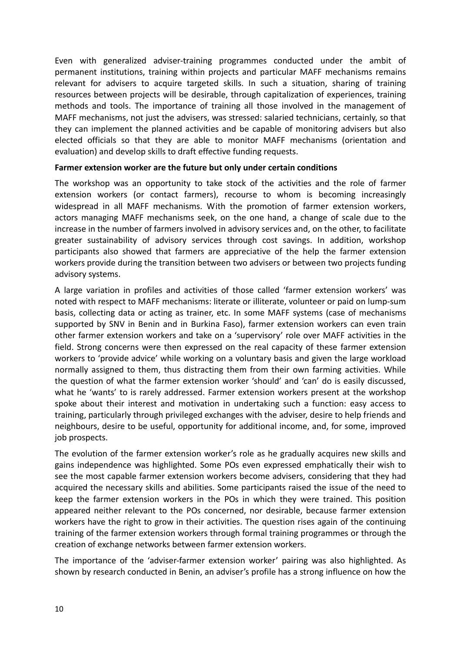Even with generalized adviser-training programmes conducted under the ambit of permanent institutions, training within projects and particular MAFF mechanisms remains relevant for advisers to acquire targeted skills. In such a situation, sharing of training resources between projects will be desirable, through capitalization of experiences, training methods and tools. The importance of training all those involved in the management of MAFF mechanisms, not just the advisers, was stressed: salaried technicians, certainly, so that they can implement the planned activities and be capable of monitoring advisers but also elected officials so that they are able to monitor MAFF mechanisms (orientation and evaluation) and develop skills to draft effective funding requests.

#### **Farmer extension worker are the future but only under certain conditions**

The workshop was an opportunity to take stock of the activities and the role of farmer extension workers (or contact farmers), recourse to whom is becoming increasingly widespread in all MAFF mechanisms. With the promotion of farmer extension workers, actors managing MAFF mechanisms seek, on the one hand, a change of scale due to the increase in the number of farmers involved in advisory services and, on the other, to facilitate greater sustainability of advisory services through cost savings. In addition, workshop participants also showed that farmers are appreciative of the help the farmer extension workers provide during the transition between two advisers or between two projects funding advisory systems.

A large variation in profiles and activities of those called 'farmer extension workers' was noted with respect to MAFF mechanisms: literate or illiterate, volunteer or paid on lump-sum basis, collecting data or acting as trainer, etc. In some MAFF systems (case of mechanisms supported by SNV in Benin and in Burkina Faso), farmer extension workers can even train other farmer extension workers and take on a 'supervisory' role over MAFF activities in the field. Strong concerns were then expressed on the real capacity of these farmer extension workers to 'provide advice' while working on a voluntary basis and given the large workload normally assigned to them, thus distracting them from their own farming activities. While the question of what the farmer extension worker 'should' and 'can' do is easily discussed, what he 'wants' to is rarely addressed. Farmer extension workers present at the workshop spoke about their interest and motivation in undertaking such a function: easy access to training, particularly through privileged exchanges with the adviser, desire to help friends and neighbours, desire to be useful, opportunity for additional income, and, for some, improved job prospects.

The evolution of the farmer extension worker's role as he gradually acquires new skills and gains independence was highlighted. Some POs even expressed emphatically their wish to see the most capable farmer extension workers become advisers, considering that they had acquired the necessary skills and abilities. Some participants raised the issue of the need to keep the farmer extension workers in the POs in which they were trained. This position appeared neither relevant to the POs concerned, nor desirable, because farmer extension workers have the right to grow in their activities. The question rises again of the continuing training of the farmer extension workers through formal training programmes or through the creation of exchange networks between farmer extension workers.

The importance of the 'adviser-farmer extension worker' pairing was also highlighted. As shown by research conducted in Benin, an adviser's profile has a strong influence on how the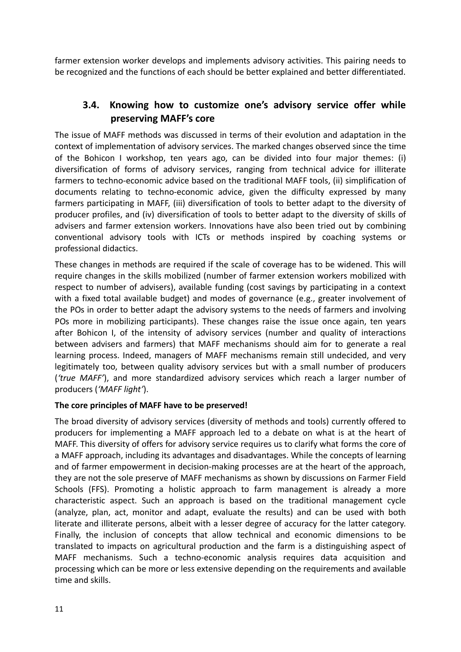farmer extension worker develops and implements advisory activities. This pairing needs to be recognized and the functions of each should be better explained and better differentiated.

# **3.4. Knowing how to customize one's advisory service offer while preserving MAFF's core**

The issue of MAFF methods was discussed in terms of their evolution and adaptation in the context of implementation of advisory services. The marked changes observed since the time of the Bohicon I workshop, ten years ago, can be divided into four major themes: (i) diversification of forms of advisory services, ranging from technical advice for illiterate farmers to techno-economic advice based on the traditional MAFF tools, (ii) simplification of documents relating to techno-economic advice, given the difficulty expressed by many farmers participating in MAFF, (iii) diversification of tools to better adapt to the diversity of producer profiles, and (iv) diversification of tools to better adapt to the diversity of skills of advisers and farmer extension workers. Innovations have also been tried out by combining conventional advisory tools with ICTs or methods inspired by coaching systems or professional didactics.

These changes in methods are required if the scale of coverage has to be widened. This will require changes in the skills mobilized (number of farmer extension workers mobilized with respect to number of advisers), available funding (cost savings by participating in a context with a fixed total available budget) and modes of governance (e.g., greater involvement of the POs in order to better adapt the advisory systems to the needs of farmers and involving POs more in mobilizing participants). These changes raise the issue once again, ten years after Bohicon I, of the intensity of advisory services (number and quality of interactions between advisers and farmers) that MAFF mechanisms should aim for to generate a real learning process. Indeed, managers of MAFF mechanisms remain still undecided, and very legitimately too, between quality advisory services but with a small number of producers (*'true MAFF'*), and more standardized advisory services which reach a larger number of producers (*'MAFF light'*).

#### **The core principles of MAFF have to be preserved!**

The broad diversity of advisory services (diversity of methods and tools) currently offered to producers for implementing a MAFF approach led to a debate on what is at the heart of MAFF. This diversity of offers for advisory service requires us to clarify what forms the core of a MAFF approach, including its advantages and disadvantages. While the concepts of learning and of farmer empowerment in decision-making processes are at the heart of the approach, they are not the sole preserve of MAFF mechanisms as shown by discussions on Farmer Field Schools (FFS). Promoting a holistic approach to farm management is already a more characteristic aspect. Such an approach is based on the traditional management cycle (analyze, plan, act, monitor and adapt, evaluate the results) and can be used with both literate and illiterate persons, albeit with a lesser degree of accuracy for the latter category. Finally, the inclusion of concepts that allow technical and economic dimensions to be translated to impacts on agricultural production and the farm is a distinguishing aspect of MAFF mechanisms. Such a techno-economic analysis requires data acquisition and processing which can be more or less extensive depending on the requirements and available time and skills.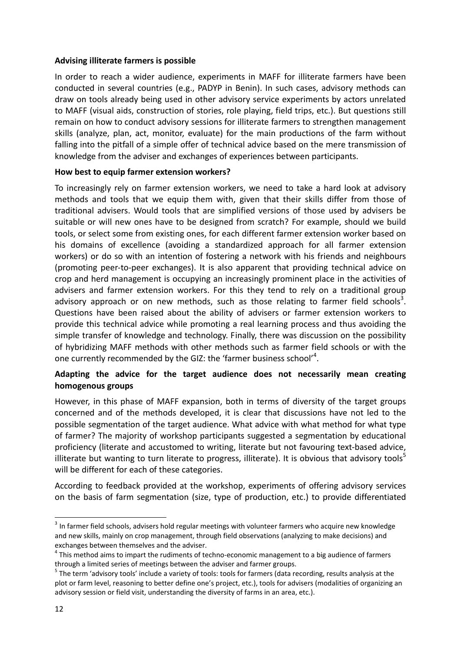#### **Advising illiterate farmers is possible**

In order to reach a wider audience, experiments in MAFF for illiterate farmers have been conducted in several countries (e.g., PADYP in Benin). In such cases, advisory methods can draw on tools already being used in other advisory service experiments by actors unrelated to MAFF (visual aids, construction of stories, role playing, field trips, etc.). But questions still remain on how to conduct advisory sessions for illiterate farmers to strengthen management skills (analyze, plan, act, monitor, evaluate) for the main productions of the farm without falling into the pitfall of a simple offer of technical advice based on the mere transmission of knowledge from the adviser and exchanges of experiences between participants.

#### **How best to equip farmer extension workers?**

To increasingly rely on farmer extension workers, we need to take a hard look at advisory methods and tools that we equip them with, given that their skills differ from those of traditional advisers. Would tools that are simplified versions of those used by advisers be suitable or will new ones have to be designed from scratch? For example, should we build tools, or select some from existing ones, for each different farmer extension worker based on his domains of excellence (avoiding a standardized approach for all farmer extension workers) or do so with an intention of fostering a network with his friends and neighbours (promoting peer-to-peer exchanges). It is also apparent that providing technical advice on crop and herd management is occupying an increasingly prominent place in the activities of advisers and farmer extension workers. For this they tend to rely on a traditional group advisory approach or on new methods, such as those relating to farmer field schools<sup>3</sup>. Questions have been raised about the ability of advisers or farmer extension workers to provide this technical advice while promoting a real learning process and thus avoiding the simple transfer of knowledge and technology. Finally, there was discussion on the possibility of hybridizing MAFF methods with other methods such as farmer field schools or with the one currently recommended by the GIZ: the 'farmer business school'<sup>4</sup>.

#### **Adapting the advice for the target audience does not necessarily mean creating homogenous groups**

However, in this phase of MAFF expansion, both in terms of diversity of the target groups concerned and of the methods developed, it is clear that discussions have not led to the possible segmentation of the target audience. What advice with what method for what type of farmer? The majority of workshop participants suggested a segmentation by educational proficiency (literate and accustomed to writing, literate but not favouring text-based advice, illiterate but wanting to turn literate to progress, illiterate). It is obvious that advisory tools<sup>5</sup> will be different for each of these categories.

According to feedback provided at the workshop, experiments of offering advisory services on the basis of farm segmentation (size, type of production, etc.) to provide differentiated

**.** 

 $3$  In farmer field schools, advisers hold regular meetings with volunteer farmers who acquire new knowledge and new skills, mainly on crop management, through field observations (analyzing to make decisions) and exchanges between themselves and the adviser.

 $<sup>4</sup>$  This method aims to impart the rudiments of techno-economic management to a big audience of farmers</sup> through a limited series of meetings between the adviser and farmer groups.

<sup>&</sup>lt;sup>5</sup> The term 'advisory tools' include a variety of tools: tools for farmers (data recording, results analysis at the plot or farm level, reasoning to better define one's project, etc.), tools for advisers (modalities of organizing an advisory session or field visit, understanding the diversity of farms in an area, etc.).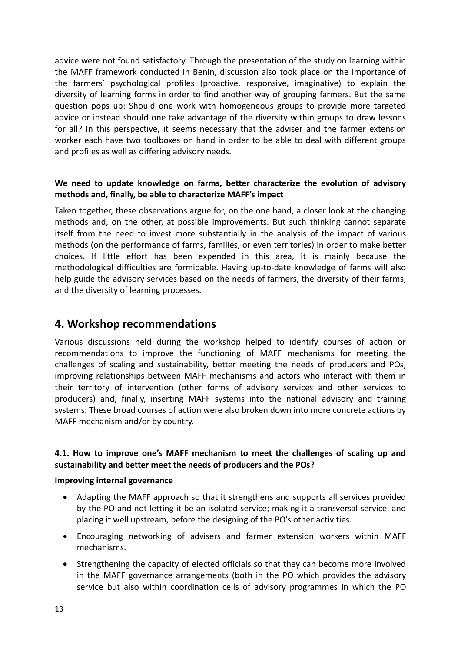advice were not found satisfactory. Through the presentation of the study on learning within the MAFF framework conducted in Benin, discussion also took place on the importance of the farmers' psychological profiles (proactive, responsive, imaginative) to explain the diversity of learning forms in order to find another way of grouping farmers. But the same question pops up: Should one work with homogeneous groups to provide more targeted advice or instead should one take advantage of the diversity within groups to draw lessons for all? In this perspective, it seems necessary that the adviser and the farmer extension worker each have two toolboxes on hand in order to be able to deal with different groups and profiles as well as differing advisory needs.

### **We need to update knowledge on farms, better characterize the evolution of advisory methods and, finally, be able to characterize MAFF's impact**

Taken together, these observations argue for, on the one hand, a closer look at the changing methods and, on the other, at possible improvements. But such thinking cannot separate itself from the need to invest more substantially in the analysis of the impact of various methods (on the performance of farms, families, or even territories) in order to make better choices. If little effort has been expended in this area, it is mainly because the methodological difficulties are formidable. Having up-to-date knowledge of farms will also help guide the advisory services based on the needs of farmers, the diversity of their farms, and the diversity of learning processes.

# **4. Workshop recommendations**

Various discussions held during the workshop helped to identify courses of action or recommendations to improve the functioning of MAFF mechanisms for meeting the challenges of scaling and sustainability, better meeting the needs of producers and POs, improving relationships between MAFF mechanisms and actors who interact with them in their territory of intervention (other forms of advisory services and other services to producers) and, finally, inserting MAFF systems into the national advisory and training systems. These broad courses of action were also broken down into more concrete actions by MAFF mechanism and/or by country.

## **4.1. How to improve one's MAFF mechanism to meet the challenges of scaling up and sustainability and better meet the needs of producers and the POs?**

#### **Improving internal governance**

- Adapting the MAFF approach so that it strengthens and supports all services provided by the PO and not letting it be an isolated service; making it a transversal service, and placing it well upstream, before the designing of the PO's other activities.
- Encouraging networking of advisers and farmer extension workers within MAFF mechanisms.
- Strengthening the capacity of elected officials so that they can become more involved in the MAFF governance arrangements (both in the PO which provides the advisory service but also within coordination cells of advisory programmes in which the PO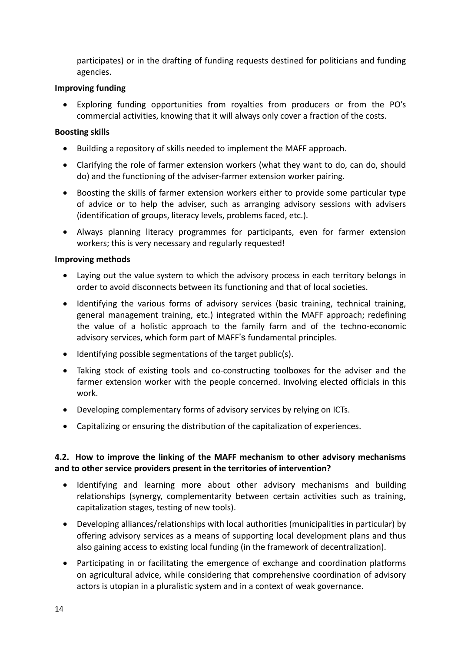participates) or in the drafting of funding requests destined for politicians and funding agencies.

#### **Improving funding**

 Exploring funding opportunities from royalties from producers or from the PO's commercial activities, knowing that it will always only cover a fraction of the costs.

#### **Boosting skills**

- Building a repository of skills needed to implement the MAFF approach.
- Clarifying the role of farmer extension workers (what they want to do, can do, should do) and the functioning of the adviser-farmer extension worker pairing.
- Boosting the skills of farmer extension workers either to provide some particular type of advice or to help the adviser, such as arranging advisory sessions with advisers (identification of groups, literacy levels, problems faced, etc.).
- Always planning literacy programmes for participants, even for farmer extension workers; this is very necessary and regularly requested!

#### **Improving methods**

- Laying out the value system to which the advisory process in each territory belongs in order to avoid disconnects between its functioning and that of local societies.
- Identifying the various forms of advisory services (basic training, technical training, general management training, etc.) integrated within the MAFF approach; redefining the value of a holistic approach to the family farm and of the techno-economic advisory services, which form part of MAFF's fundamental principles.
- Identifying possible segmentations of the target public(s).
- Taking stock of existing tools and co-constructing toolboxes for the adviser and the farmer extension worker with the people concerned. Involving elected officials in this work.
- Developing complementary forms of advisory services by relying on ICTs.
- Capitalizing or ensuring the distribution of the capitalization of experiences.

#### **4.2. How to improve the linking of the MAFF mechanism to other advisory mechanisms and to other service providers present in the territories of intervention?**

- Identifying and learning more about other advisory mechanisms and building relationships (synergy, complementarity between certain activities such as training, capitalization stages, testing of new tools).
- Developing alliances/relationships with local authorities (municipalities in particular) by offering advisory services as a means of supporting local development plans and thus also gaining access to existing local funding (in the framework of decentralization).
- Participating in or facilitating the emergence of exchange and coordination platforms on agricultural advice, while considering that comprehensive coordination of advisory actors is utopian in a pluralistic system and in a context of weak governance.